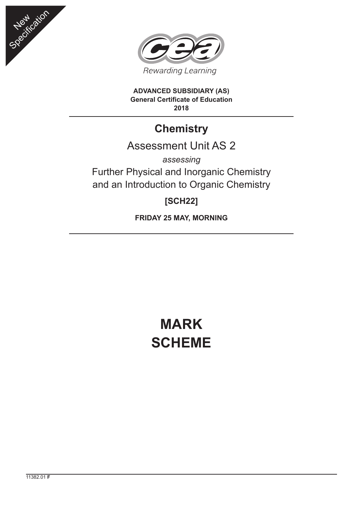



**ADVANCED SUBSIDIARY (AS) General Certificate of Education 2018**

# **Chemistry**

## Assessment Unit AS 2

*assessing* Further Physical and Inorganic Chemistry and an Introduction to Organic Chemistry

## **[SCH22]**

**FRIDAY 25 MAY, MORNING**

# **MARK SCHEME**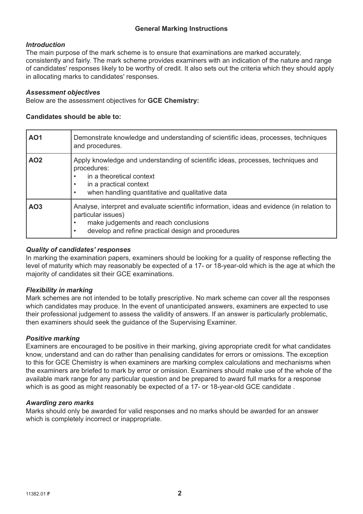#### **General Marking Instructions**

#### *Introduction*

The main purpose of the mark scheme is to ensure that examinations are marked accurately, consistently and fairly. The mark scheme provides examiners with an indication of the nature and range of candidates' responses likely to be worthy of credit. It also sets out the criteria which they should apply in allocating marks to candidates' responses.

#### *Assessment objectives*

Below are the assessment objectives for **GCE Chemistry:**

#### **Candidates should be able to:**

| AO <sub>1</sub> | Demonstrate knowledge and understanding of scientific ideas, processes, techniques<br>and procedures.                                                                                                                                     |
|-----------------|-------------------------------------------------------------------------------------------------------------------------------------------------------------------------------------------------------------------------------------------|
| AO <sub>2</sub> | Apply knowledge and understanding of scientific ideas, processes, techniques and<br>procedures:<br>in a theoretical context<br>$\bullet$<br>in a practical context<br>when handling quantitative and qualitative data                     |
| AO <sub>3</sub> | Analyse, interpret and evaluate scientific information, ideas and evidence (in relation to<br>particular issues)<br>make judgements and reach conclusions<br>$\bullet$<br>develop and refine practical design and procedures<br>$\bullet$ |

#### *Quality of candidates' responses*

In marking the examination papers, examiners should be looking for a quality of response reflecting the level of maturity which may reasonably be expected of a 17- or 18-year-old which is the age at which the majority of candidates sit their GCE examinations.

#### *Flexibility in marking*

Mark schemes are not intended to be totally prescriptive. No mark scheme can cover all the responses which candidates may produce. In the event of unanticipated answers, examiners are expected to use their professional judgement to assess the validity of answers. If an answer is particularly problematic, then examiners should seek the guidance of the Supervising Examiner.

#### *Positive marking*

Examiners are encouraged to be positive in their marking, giving appropriate credit for what candidates know, understand and can do rather than penalising candidates for errors or omissions. The exception to this for GCE Chemistry is when examiners are marking complex calculations and mechanisms when the examiners are briefed to mark by error or omission. Examiners should make use of the whole of the available mark range for any particular question and be prepared to award full marks for a response which is as good as might reasonably be expected of a 17- or 18-year-old GCE candidate .

#### *Awarding zero marks*

Marks should only be awarded for valid responses and no marks should be awarded for an answer which is completely incorrect or inappropriate.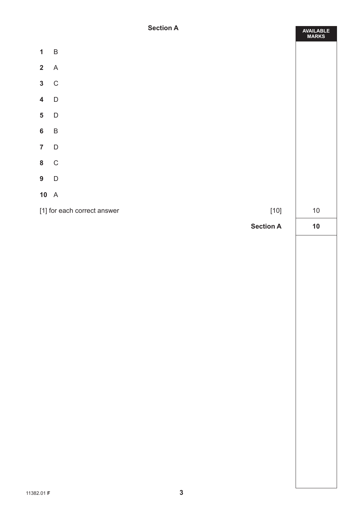#### **Section A**

**AVAILABLE**

|                         |                             |                  | <b>MARKS</b> |
|-------------------------|-----------------------------|------------------|--------------|
| $\mathbf{1}$            | $\sf B$                     |                  |              |
| $\overline{\mathbf{2}}$ | $\boldsymbol{\mathsf{A}}$   |                  |              |
| $\overline{\mathbf{3}}$ | ${\rm C}$                   |                  |              |
| $\overline{\mathbf{4}}$ | $\mathsf D$                 |                  |              |
| $\overline{\mathbf{5}}$ | $\mathsf D$                 |                  |              |
| $\bf 6$                 | $\sf B$                     |                  |              |
| $\overline{\mathbf{7}}$ | $\mathsf D$                 |                  |              |
| $\bf{8}$                | $\mathbf C$                 |                  |              |
| $\overline{9}$          | $\mathsf D$                 |                  |              |
|                         | $10\quad A$                 |                  |              |
|                         | [1] for each correct answer | $[10]$           | $10\,$       |
|                         |                             | <b>Section A</b> | $10$         |
|                         |                             |                  |              |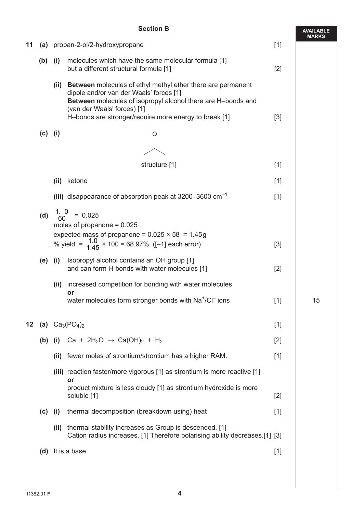|    |           |               | <b>Section B</b>                                                                                                                                                                                                                                                      |       | <b>AVAILABLE</b> |
|----|-----------|---------------|-----------------------------------------------------------------------------------------------------------------------------------------------------------------------------------------------------------------------------------------------------------------------|-------|------------------|
| 11 |           |               | (a) propan-2-ol/2-hydroxypropane                                                                                                                                                                                                                                      | $[1]$ | MARKS            |
|    | (b)       | (i)           | molecules which have the same molecular formula [1]<br>but a different structural formula [1]                                                                                                                                                                         | $[2]$ |                  |
|    |           | (ii)          | <b>Between</b> molecules of ethyl methyl ether there are permanent<br>dipole and/or van der Waals' forces [1]<br>Between molecules of isopropyl alcohol there are H-bonds and<br>(van der Waals' forces) [1]<br>H-bonds are stronger/require more energy to break [1] | $[3]$ |                  |
|    | $(c)$ (i) |               |                                                                                                                                                                                                                                                                       |       |                  |
|    |           | structure [1] |                                                                                                                                                                                                                                                                       | $[1]$ |                  |
|    |           | (ii)          | ketone                                                                                                                                                                                                                                                                | $[1]$ |                  |
|    |           |               | (iii) disappearance of absorption peak at 3200–3600 $cm^{-1}$                                                                                                                                                                                                         | $[1]$ |                  |
|    |           |               | (d) $\frac{1.0}{60}$ = 0.025<br>moles of propanone = $0.025$<br>expected mass of propanone = $0.025 \times 58 = 1.45g$<br>% yield = $\frac{1.0}{1.45} \times 100 = 68.97\%$ ([-1] each error)                                                                         |       |                  |
|    |           |               |                                                                                                                                                                                                                                                                       | [3]   |                  |
|    | $(e)$ (i) |               | Isopropyl alcohol contains an OH group [1]<br>and can form H-bonds with water molecules [1]                                                                                                                                                                           | $[2]$ |                  |
|    |           | (ii)          | increased competition for bonding with water molecules<br>or                                                                                                                                                                                                          |       |                  |
|    |           |               | water molecules form stronger bonds with Na <sup>+</sup> /Cl <sup>-</sup> ions                                                                                                                                                                                        | $[1]$ | 15               |
| 12 |           |               | (a) $Ca_3(PO_4)_2$                                                                                                                                                                                                                                                    | $[1]$ |                  |
|    |           |               | (b) (i) Ca + 2H <sub>2</sub> O $\rightarrow$ Ca(OH) <sub>2</sub> + H <sub>2</sub>                                                                                                                                                                                     | $[2]$ |                  |
|    |           | (ii)          | fewer moles of strontium/strontium has a higher RAM.                                                                                                                                                                                                                  | $[1]$ |                  |
|    |           |               | (iii) reaction faster/more vigorous [1] as strontium is more reactive [1]<br>or                                                                                                                                                                                       |       |                  |
|    |           |               | product mixture is less cloudy [1] as strontium hydroxide is more<br>soluble [1]                                                                                                                                                                                      | $[2]$ |                  |
|    | (c)       | (i)           | thermal decomposition (breakdown using) heat                                                                                                                                                                                                                          | $[1]$ |                  |
|    |           | (ii)          | thermal stability increases as Group is descended. [1]<br>Cation radius increases. [1] Therefore polarising ability decreases.[1] [3]                                                                                                                                 |       |                  |
|    | (d)       |               | It is a base                                                                                                                                                                                                                                                          | $[1]$ |                  |
|    |           |               |                                                                                                                                                                                                                                                                       |       |                  |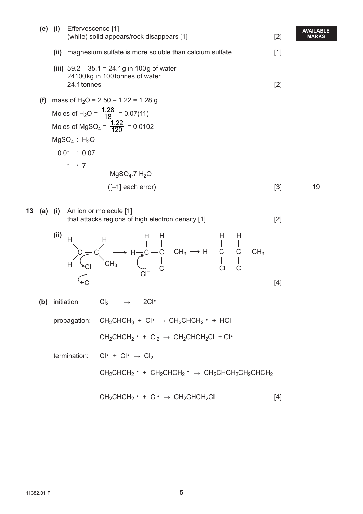|    |     | (e) (i)             | Effervescence [1]          | (white) solid appears/rock disappears [1]                                                                                                                                                                                                                                                                                                                                                                                                   | $[2]$ | <b>AVAILABLE</b><br><b>MARKS</b> |
|----|-----|---------------------|----------------------------|---------------------------------------------------------------------------------------------------------------------------------------------------------------------------------------------------------------------------------------------------------------------------------------------------------------------------------------------------------------------------------------------------------------------------------------------|-------|----------------------------------|
|    |     | (ii)                |                            | magnesium sulfate is more soluble than calcium sulfate                                                                                                                                                                                                                                                                                                                                                                                      | $[1]$ |                                  |
|    |     |                     | 24.1 tonnes                | (iii) $59.2 - 35.1 = 24.1g$ in 100g of water<br>24100kg in 100 tonnes of water                                                                                                                                                                                                                                                                                                                                                              | $[2]$ |                                  |
|    | (f) |                     |                            | mass of H <sub>2</sub> O = 2.50 - 1.22 = 1.28 g                                                                                                                                                                                                                                                                                                                                                                                             |       |                                  |
|    |     |                     |                            | Moles of H <sub>2</sub> O = $\frac{1.28}{18}$ = 0.07(11)                                                                                                                                                                                                                                                                                                                                                                                    |       |                                  |
|    |     |                     |                            | Moles of MgSO <sub>4</sub> = $\frac{1.22}{120}$ = 0.0102                                                                                                                                                                                                                                                                                                                                                                                    |       |                                  |
|    |     |                     | $MgSO4$ : H <sub>2</sub> O |                                                                                                                                                                                                                                                                                                                                                                                                                                             |       |                                  |
|    |     |                     | 0.01 : 0.07                |                                                                                                                                                                                                                                                                                                                                                                                                                                             |       |                                  |
|    |     |                     | 1 : 7                      | $MgSO4$ .7 H <sub>2</sub> O                                                                                                                                                                                                                                                                                                                                                                                                                 |       |                                  |
|    |     |                     |                            | $([-1]$ each error)                                                                                                                                                                                                                                                                                                                                                                                                                         | $[3]$ | 19                               |
| 13 |     | $(a)$ $(i)$<br>(ii) |                            | An ion or molecule [1]<br>that attacks regions of high electron density [1]<br>$P = C$<br>$H = C$<br>$H = C$<br>$H = C$<br>$H = C$<br>$H = C$<br>$H = C$<br>$H = C$<br>$H = C$<br>$H = C$<br>$H = C$<br>$H = C$<br>$H = C$<br>$H = C$<br>$H = C$<br>$H = C$<br>$H = C$<br>$H = C$<br>$H = C$<br>$H = C$<br>$H = C$<br>$H = C$<br>$H = C$<br>$H = C$<br>$H = C$<br>$H = C$<br>$H = C$<br>$H = C$<br>$H = C$<br>$H = C$<br>$H = C$<br>$H = C$ | $[2]$ |                                  |
|    |     |                     |                            |                                                                                                                                                                                                                                                                                                                                                                                                                                             | [4]   |                                  |
|    |     |                     | (b) initiation:            | $Cl_2 \longrightarrow 2Cl^*$                                                                                                                                                                                                                                                                                                                                                                                                                |       |                                  |
|    |     |                     | propagation:               | $CH_2CHCH_3 + Cl^* \rightarrow CH_2CHCH_2^* + HCl$                                                                                                                                                                                                                                                                                                                                                                                          |       |                                  |
|    |     |                     |                            | $CH_2CHCH_2$ • + $Cl_2 \rightarrow CH_2CHCH_2Cl$ + $Cl^*$                                                                                                                                                                                                                                                                                                                                                                                   |       |                                  |
|    |     |                     | termination:               | $Cl^* + Cl^* \rightarrow Cl_2$                                                                                                                                                                                                                                                                                                                                                                                                              |       |                                  |
|    |     |                     |                            | $CH_2CHCH_2$ • + $CH_2CHCH_2$ • $\rightarrow$ $CH_2CHCH_2CH_2CHCH_2$                                                                                                                                                                                                                                                                                                                                                                        |       |                                  |
|    |     |                     |                            | $CH_2CHCH_2 \cdot + Cl \cdot \rightarrow CH_2CHCH_2Cl$                                                                                                                                                                                                                                                                                                                                                                                      | [4]   |                                  |
|    |     |                     |                            |                                                                                                                                                                                                                                                                                                                                                                                                                                             |       |                                  |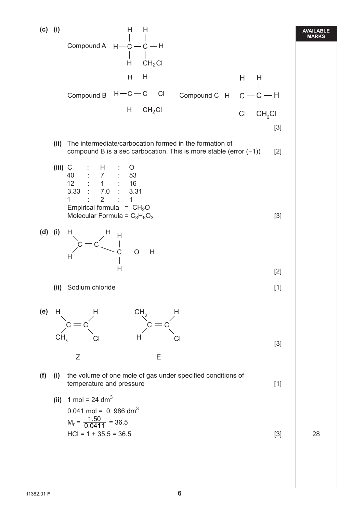